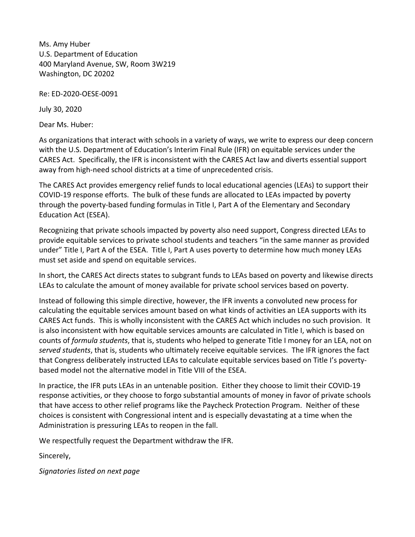Ms. Amy Huber U.S. Department of Education 400 Maryland Avenue, SW, Room 3W219 Washington, DC 20202

Re: ED‐2020‐OESE‐0091

July 30, 2020

Dear Ms. Huber:

As organizations that interact with schools in a variety of ways, we write to express our deep concern with the U.S. Department of Education's Interim Final Rule (IFR) on equitable services under the CARES Act. Specifically, the IFR is inconsistent with the CARES Act law and diverts essential support away from high‐need school districts at a time of unprecedented crisis.

The CARES Act provides emergency relief funds to local educational agencies (LEAs) to support their COVID‐19 response efforts. The bulk of these funds are allocated to LEAs impacted by poverty through the poverty‐based funding formulas in Title I, Part A of the Elementary and Secondary Education Act (ESEA).

Recognizing that private schools impacted by poverty also need support, Congress directed LEAs to provide equitable services to private school students and teachers "in the same manner as provided under" Title I, Part A of the ESEA. Title I, Part A uses poverty to determine how much money LEAs must set aside and spend on equitable services.

In short, the CARES Act directs states to subgrant funds to LEAs based on poverty and likewise directs LEAs to calculate the amount of money available for private school services based on poverty.

Instead of following this simple directive, however, the IFR invents a convoluted new process for calculating the equitable services amount based on what kinds of activities an LEA supports with its CARES Act funds. This is wholly inconsistent with the CARES Act which includes no such provision. It is also inconsistent with how equitable services amounts are calculated in Title I, which is based on counts of *formula students*, that is, students who helped to generate Title I money for an LEA, not on *served students*, that is, students who ultimately receive equitable services. The IFR ignores the fact that Congress deliberately instructed LEAs to calculate equitable services based on Title I's poverty‐ based model not the alternative model in Title VIII of the ESEA.

In practice, the IFR puts LEAs in an untenable position. Either they choose to limit their COVID‐19 response activities, or they choose to forgo substantial amounts of money in favor of private schools that have access to other relief programs like the Paycheck Protection Program. Neither of these choices is consistent with Congressional intent and is especially devastating at a time when the Administration is pressuring LEAs to reopen in the fall.

We respectfully request the Department withdraw the IFR.

Sincerely,

*Signatories listed on next page*